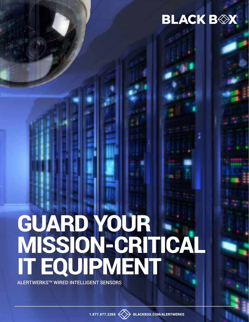# **BLACK BOX**

# GUARD YOUR MISSION-CRITICAL IT EQUIPMENT

ALERTWERKS™ WIRED INTELLIGENT SENSORS



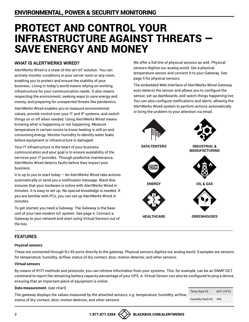# PROTECT AND CONTROL YOUR INFRASTRUCTURE AGAINST THREATS — SAVE ENERGY AND MONEY

#### **WHAT IS ALERTWERKS WIRED?**

AlertWerks Wired is a state-of-the-art IoT solution. You can actively monitor conditions in your server room or any room, enabling you to protect and ensure the stability of your business. Living in today's world means relying on working infrastructure for your communication needs. It also means respecting the environment, seeking ways to save energy and money, and preparing for unexpected threats like pandemics.

AlertWerks Wired enables you to measure environmental **Read Strains** control over your IT and IP systems, and switch **Depending the problem** things on or off when needed. Using AlertWerks Wired means knowing what is happening or not happening. Measure temperature in certain rooms to know heating is still on and consuming energy. Monitor humidity to identify water leaks before equipment or infrastructure is damaged.

Your IT infrastructure is the heart of your business communication and your goal is to ensure availability of the services your IT provides. Through predictive maintenance, AlertWerks Wired detects faults before they impact your business.

It is up to you to start today  $-$  let AlertWerks Wired take actions automatically or send you a notification message. Black Box ensures that your hardware is online with AlertWerks Wired in **ENTERTAINMENT** minutes. It is easy to set up. No special knowledge is needed. If you are familiar with PCs, you can set up AlertWerks Wired in minutes. **PUBLIC SAFTEY STATE & LOCAL SPORTS & UTILITIES**

To get started, you need a Gateway. The Gateway is the base unit of your new modern IoT system. See page 4. Connect a Gateway to your network and start using Virtual Sensors out of the box.

We offer a full line of physical sensors as well. Physical sensors digitize our analog world. Get a physical temperature sensor and connect it to your Gateway. See page 5 for physical sensors.

The embedded Web Interface of AlertWerks Wired Gateway auto-detects the sensor and allows you to configure the sensor, set up dashboards, and watch things happening live. You can also configure notifications and alerts, allowing the AlertWerks Wired system to perform actions automatically or bring the problem to your attention via email.



#### **FEATURES**

#### **Physical sensors**

These are connected through RJ-45 ports directly to the gateway. Physical sensors digitize our analog world. Examples are sensors for temperature, humidity, airflow, status of dry contact, door, motion detector, and other sensors.

#### **Virtual sensors**

By means of IP/IT methods and protocols, you can retrieve information from your systems. This, for example, can be an SNMP GET command to report the remaining battery capacity percentage of your UPS. A Virtual Sensor can also be configured to ping a device, ensuring that an important piece of equipment is online.

#### **Data measurement** (see chart)

The gateway displays the values measured by the attached sensors, e.g. temperature, humidity, airflow, status of dry contact, door, motion detector, and other sensors.

| Temp Rack 03     | 66°F (19°C) |
|------------------|-------------|
| Humidity Rack 03 | 34%         |

**1.877.877.2269 BLACKBOX.COM 1.877.877.2269 BLACKBOX.COM 1.877.877.2269 BLACKBOX.COM 1.877.877.2269 BLACKBOX.COM 1.877.877.2269 BLACKBOX.COM**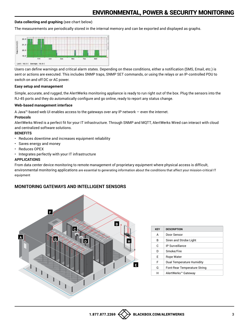#### **Data collecting and graphing** (see chart below)

The measurements are periodically stored in the internal memory and can be exported and displayed as graphs.



Users can define warnings and critical alarm states. Depending on these conditions, either a notification (SMS, Email, etc.) is sent or actions are executed. This includes SNMP traps, SNMP SET commands, or using the relays or an IP-controlled PDU to switch on and off DC or AC power.

#### **Easy setup and management**

Simple, accurate, and rugged, the AlertWerks monitoring appliance is ready to run right out of the box. Plug the sensors into the RJ-45 ports and they do automatically configure and go online, ready to report any status change.

#### **Web-based management interface**

A Java™-based web UI enables access to the gateways over any IP network — even the internet.

#### **Protocols**

AlertWerks Wired is a perfect fit for your IT infrastructure. Through SNMP and MQTT, AlertWerks Wired can interact with cloud and centralized software solutions.

#### **BENEFITS**

- Reduces downtime and increases equipment reliability
- Saves energy and money
- Reduces OPEX
- Integrates perfectly with your IT infrastructure

#### **APPLICATIONS**

From data center device monitoring to remote management of proprietary equipment where physical access is difficult, environmental monitoring applications are essential to generating information about the conditions that affect your mission-critical IT equipment

#### **MONITORING GATEWAYS AND INTELLIGENT SENSORS**



| <b>KEY</b> | <b>DESCRIPTION</b>           |
|------------|------------------------------|
| A          | Door Sensor                  |
| R          | Siren and Strobe Light       |
| C.         | <b>IP Surveillance</b>       |
| D          | Smoke/Fire                   |
| F          | Rope Water                   |
| F          | Dual Temperature Humidity    |
| G          | Font-Rear Temperature String |
| н          | AlertWerks™ Gateway          |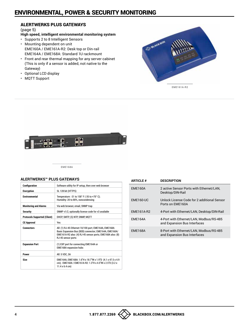#### ALERTWERKS PLUS GATEWAYS

(page 5)

#### **High speed, intelligent environmental monitoring system**

- Supports 2 to 8 Intelligent Sensors • Mounting dependent on unit EME160A / EME161A-R2: Desk top or Din-rail
- EME164A / EME168A: Standard 1U rackmount • Front and rear thermal mapping for any server cabinet (This is only if a sensor is added, not native to the Gateway)
- Optional LCD display
- MQTT Support



EME161A-R2



EME168A

#### **ALERTWERKS™ PLUS GATEWAYS**

| Configuration                       | Software utility for IP setup, then over web browser                                                                                                                                                 |
|-------------------------------------|------------------------------------------------------------------------------------------------------------------------------------------------------------------------------------------------------|
| <b>Encryption</b>                   | SL 128 bit (HTTPS)                                                                                                                                                                                   |
| <b>Fnvironmental</b>                | Temperature: -31 to 158° F (-35 to +70° C);<br>Humidity: 20 to 80%, noncondensing                                                                                                                    |
| <b>Monitoring and Alarms</b>        | Via web browser, email, SNMP trap                                                                                                                                                                    |
| <b>Security</b>                     | SNMP v1/2, optionally license code for v3 available                                                                                                                                                  |
| <b>Protocols Supported (Client)</b> | DHCP, SMTP, (S) NTP, SNMP, MQTT                                                                                                                                                                      |
| <b>CE Approval</b>                  | Yes                                                                                                                                                                                                  |
| <b>Connectors</b>                   | All: (1) RJ-45 Ethernet 10/100 port; EME164A, EME168A:<br>Basic Expansion Bus (BEB) connector; EME164A, EME160A/<br>EME161A-R2 also: (4) RJ-45 sensor ports; EME168A also: (8)<br>RJ-45 sensor ports |
| <b>Expansion Port</b>               | (1) EXP port for connecting EME164A or<br><b>EME168A</b> expansion hubs                                                                                                                              |
| Power                               | All: 5 VDC, 3A                                                                                                                                                                                       |
| Size                                | EME164A, EME168A: 1.6"H x 18.7"W x 1.9"D (4.1 x 47.5 x 4.9)<br>cm); EME160A / EME161A-R2: 1.3"H x 4.5"W x 2.5"D (3.2 x<br>$11.4 \times 6.4$ cm)                                                      |

| <b>ARTICLE #</b> | <b>DESCRIPTION</b>                                                      |
|------------------|-------------------------------------------------------------------------|
| <b>EME160A</b>   | 2 active Sensor Ports with Ethernet/LAN.<br>Desktop/DIN-Rail            |
| <b>EME160-UC</b> | Unlock License Code for 2 additional Sensor<br>Ports on FMF160A         |
| EME161A-R2       | 4-Port with Ethernet/LAN, Desktop/DIN-Rail                              |
| <b>EME164A</b>   | 4-Port with Ethernet/LAN. Modbus/RS-485<br>and Expansion Bus Interfaces |
| <b>EME168A</b>   | 8-Port with Ethernet/LAN, Modbus/RS-485<br>and Expansion Bus Interfaces |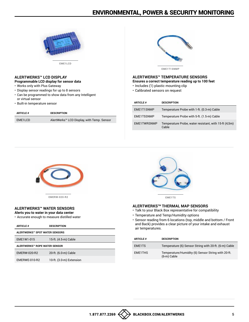

#### **ALERTWERKS™ LCD DISPLAY**

- **Programmable LCD display for sensor data**
- Works only with Plus Gateway
- Display sensor readings for up to 8 sensors
- Can be programmed to show data from any Intelligent or virtual sensor
- Built-in temperature sensor

| <b>ARTICLE #</b> | <b>DESCRIPTION</b>                         |
|------------------|--------------------------------------------|
| EME1LCD          | AlertWerks™ LCD Display, with Temp. Sensor |
|                  |                                            |



### **ALERTWERKS™ TEMPERATURE SENSORS**

- **Ensures a correct temperature reading up to 100 feet**
- Includes (1) plastic mounting clip
- Calibrated sensors on request

| <b>ARTICLE #</b> | <b>DESCRIPTION</b>                                             |
|------------------|----------------------------------------------------------------|
| EME1T1SNMP       | Temperature Probe with 1-ft. (0.3-m) Cable                     |
| EME1T5SNMP       | Temperature Probe with 5-ft. (1.5-m) Cable                     |
| EME1TWRSNMP      | Temperature Probe, water resistant, with 15-ft (4,5m)<br>Cable |



EMERW-020-R2

#### **ALERTWERKS™ WATER SENSORS Alerts you to water in your data center**

- 
- Accurate enough to measure distilled water

| <b>ARTICLE #</b>               | <b>DESCRIPTION</b>       |  |
|--------------------------------|--------------------------|--|
| ALERTWERKS™ SPOT WATER SENSORS |                          |  |
| EME1W1-015                     | 15-ft. (4.5-m) Cable     |  |
| ALERTWERKS™ ROPE WATER SENSOR  |                          |  |
| <b>EMERW-020-R2</b>            | 20-ft. (6.0-m) Cable     |  |
| EMERWE-010-R2                  | 10-ft. (3.0-m) Extension |  |



EME1TS

#### **ALERTWERKSTM THERMAL MAP SENSORS**

- Talk to your Black Box representative for compatibility
- Temperature and Temp/Humidity options
- Sensor reading from 6 locations (top, middle and bottom / Front and Back) provides a clear picture of your intake and exhaust  $air$  temperatures.

| <b>ARTICLE #</b> | <b>DESCRIPTION</b>                                                  |
|------------------|---------------------------------------------------------------------|
| EME1TS           | Temperature (6) Sensor String with 20-ft. (6-m) Cable               |
| EME1THS          | Temperature/Humidity (6) Sensor String with 20-ft.<br>$(6-m)$ Cable |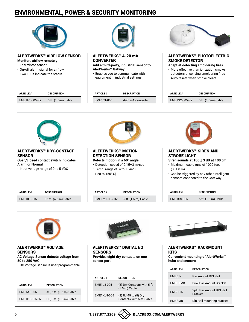

#### ALERTWERKS™ AIRFLOW SENSOR **Monitors airflow remotely**

• Thermistor sensor

- • On/off alarm signal for airflow
- Two LEDs indicate the status



ALERTWERKS™ 4-20 mA **CONVERTER Add a third-party, industrial sensor to** 

**AlertWerks™ Gatway**

• Enables you to communicate with equipment in industrial settings



#### ALERTWERKS™ PHOTOELECTRIC SMOKE DETECTOR

**Adept at detecting smoldering fires** • More effective than ionization smoke

detectors at sensing smoldering fires

• Auto resets when smoke clears

| <b>ARTICLE #</b> | DESCRIPTION         | <b>ARTICLE #</b> | <b>DESCRIPTION</b> | <b>ARTICLE#</b> | <b>DESCRIPTION</b>  |
|------------------|---------------------|------------------|--------------------|-----------------|---------------------|
| EME1F1-005-R2    | 5-ft. (1.5-m) Cable | EME1C1-005       | 4-20 mA Converter  | EME1S2-005-R2   | 5-ft. (1.5-m) Cable |



#### ALERTWERKS™ DRY-CONTACT **SENSOR**

**Open/closed contact switch indicates Alarm or Normal**

• Input voltage range of 0 to 5 VDC

**ARTICLE # DESCRIPTION**

EME1K1-015 15-ft. (4.5-m) Cable



#### ALERTWERKS™ MOTION DETECTION SENSOR **Detects motion in a 60° angle**

• Detection speed of 0.15–3 m/sec • Temp. range of -4 to +144° F (-20 to +50° C)

**ARTICLE # DESCRIPTION**

EME1M1-005-R2 5-ft. (1.5-m) Cable



#### ALERTWERKS™ SIREN AND STROBE LIGHT

**Siren sounds at 100 ± 3 dB at 100 cm** • Maximum cable runs of 1000 feet

- (304.8 m)
- Can be triggered by any other Intelligent sensors connected to the Gateway

| <b>ARTICLE#</b>   | <b>DESCRIPTION</b>  |  |  |
|-------------------|---------------------|--|--|
| <b>EME1SS-005</b> | 5-ft. (1.5-m) Cable |  |  |



#### ALERTWERKS™ VOLTAGE **SENSORS**

**AC Voltage Sensor detects voltage from 50 to 250 VAC**

• DC Voltage Sensor is user programmable

| <b>ARTICLE #</b> | <b>DESCRIPTION</b>      |
|------------------|-------------------------|
| EME1A1-005       | AC, 5-ft. (1.5-m) Cable |
| EME1D1-005-R2    | DC, 5-ft. (1.5-m) Cable |



ALERTWERKS™ DIGITAL I/O **SENSORS Provides eight dry contacts on one sensor port**

| <b>ARTICLE #</b> | <b>DESCRIPTION</b>                                |
|------------------|---------------------------------------------------|
| FMF1.J8-005      | (8) Dry Contacts with 5-ft.<br>$(1.5-m)$ Cable    |
| EME1KJ8-005      | (2) RJ-45 to (8) Dry<br>Contacts with 5-ft. Cable |



#### ALERTWERKS™ RACKMOUNT **KITS**

**Convenient mounting of AlertWerks™ hubs and sensors**

| <b>ARTICLE #</b> | <b>DESCRIPTION</b>                         |
|------------------|--------------------------------------------|
| <b>FMFDIN</b>    | <b>Rackmount DIN Rail</b>                  |
| <b>EMEDRMK</b>   | Dual Backmount Bracket                     |
| <b>FMFSDIN</b>   | Split Rackmount DIN Rail<br><b>Bracket</b> |
| <b>EMESMB</b>    | Din-Rail mounting bracket                  |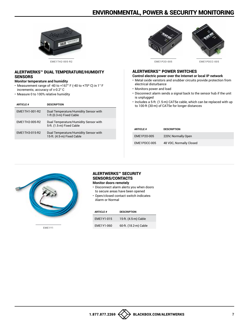

#### ALERTWERKS™ DUAL TEMPERATURE/HUMIDITY **SENSORS**

#### **Monitor temperature and humidity**

- Measurement range of -40 to +167° F (-40 to +75º C) in 1° F increments; accuracy of ±-0.2° C
- Measure 0 to 100% relative humidity

| <b>ARTICLE #</b> | <b>DESCRIPTION</b>                                                  |
|------------------|---------------------------------------------------------------------|
| EME1TH1-001-R2   | Dual Temperature/Humidity Sensor with<br>1-ft (0.3-m) Fixed Cable   |
| EME1TH2-005-R2   | Dual Temperature/Humidity Sensor with<br>5-ft. (1.5-m) Fixed Cable  |
| EME1TH3-015-R2   | Dual Temperature/Humidity Sensor with<br>15-ft. (4.5-m) Fixed Cable |



EME1P2O-005 EME1PDCC-005

#### ALERTWERKS™ POWER SWITCHES

#### **Control electric power over the Internet or local IP network**

- Metal oxide varistors and snubber circuits provide protection from electrical disturbance
- Monitors power and load
- Disconnect alarm sends a signal back to the sensor hub if the unit is unplugged
- Includes a 5-ft. (1.5-m) CAT5e cable, which can be replaced with up to 100-ft (30-m) of CAT5e for longer distances

| <b>ARTICLE #</b> | <b>DESCRIPTION</b>      |
|------------------|-------------------------|
| EME1P20-005      | 220V, Normally Open     |
| EME1PDCC-005     | 48 VDC, Normally Closed |



EME1Y1

#### ALERTWERKS™ SECURITY SENSORS/CONTACTS **Monitor doors remotely**

- Disconnect alarm alerts you when doors to secure areas have been opened
- Open/closed contact switch indicates Alarm or Normal

| <b>ARTICLE#</b> | <b>DESCRIPTION</b>    |
|-----------------|-----------------------|
| EME1Y1-015      | 15-ft. (4.5-m) Cable  |
| EME1Y1-060      | 60-ft. (18.2-m) Cable |